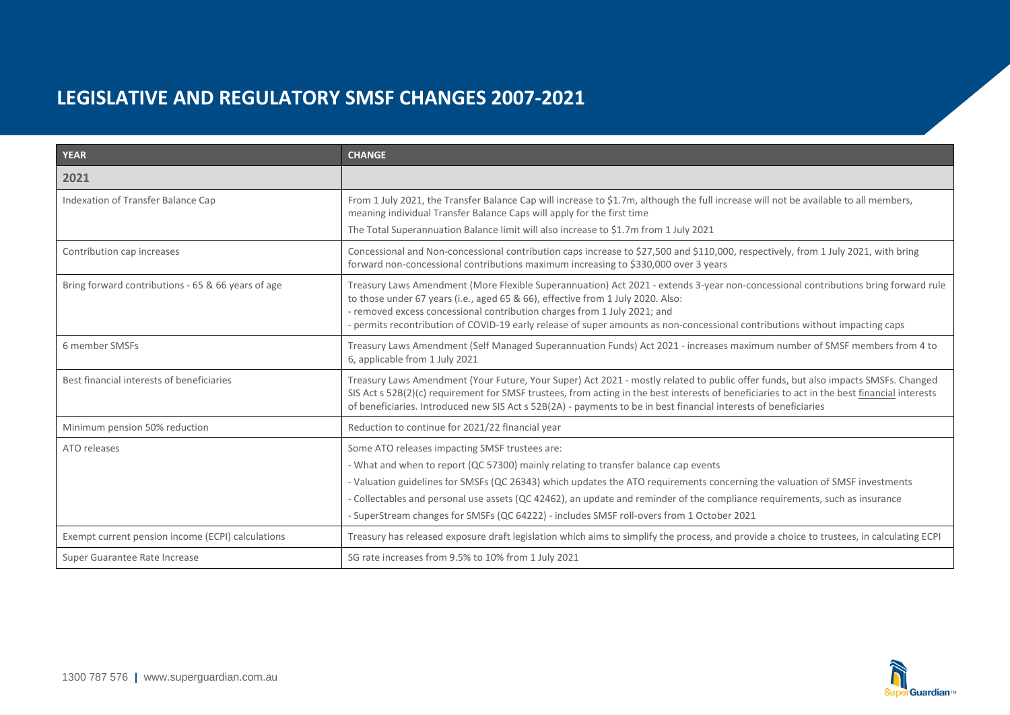| <b>YEAR</b>                                        | <b>CHANGE</b>                                                                                                                                                                                                                                                                                                                                                                                                                                                                                    |
|----------------------------------------------------|--------------------------------------------------------------------------------------------------------------------------------------------------------------------------------------------------------------------------------------------------------------------------------------------------------------------------------------------------------------------------------------------------------------------------------------------------------------------------------------------------|
| 2021                                               |                                                                                                                                                                                                                                                                                                                                                                                                                                                                                                  |
| Indexation of Transfer Balance Cap                 | From 1 July 2021, the Transfer Balance Cap will increase to \$1.7m, although the full increase will not be available to all members,<br>meaning individual Transfer Balance Caps will apply for the first time<br>The Total Superannuation Balance limit will also increase to \$1.7m from 1 July 2021                                                                                                                                                                                           |
| Contribution cap increases                         | Concessional and Non-concessional contribution caps increase to \$27,500 and \$110,000, respectively, from 1 July 2021, with bring<br>forward non-concessional contributions maximum increasing to \$330,000 over 3 years                                                                                                                                                                                                                                                                        |
| Bring forward contributions - 65 & 66 years of age | Treasury Laws Amendment (More Flexible Superannuation) Act 2021 - extends 3-year non-concessional contributions bring forward rule<br>to those under 67 years (i.e., aged 65 & 66), effective from 1 July 2020. Also:<br>- removed excess concessional contribution charges from 1 July 2021; and<br>- permits recontribution of COVID-19 early release of super amounts as non-concessional contributions without impacting caps                                                                |
| 6 member SMSFs                                     | Treasury Laws Amendment (Self Managed Superannuation Funds) Act 2021 - increases maximum number of SMSF members from 4 to<br>6, applicable from 1 July 2021                                                                                                                                                                                                                                                                                                                                      |
| Best financial interests of beneficiaries          | Treasury Laws Amendment (Your Future, Your Super) Act 2021 - mostly related to public offer funds, but also impacts SMSFs. Changed<br>SIS Act s 52B(2)(c) requirement for SMSF trustees, from acting in the best interests of beneficiaries to act in the best financial interests<br>of beneficiaries. Introduced new SIS Act s 52B(2A) - payments to be in best financial interests of beneficiaries                                                                                           |
| Minimum pension 50% reduction                      | Reduction to continue for 2021/22 financial year                                                                                                                                                                                                                                                                                                                                                                                                                                                 |
| ATO releases                                       | Some ATO releases impacting SMSF trustees are:<br>- What and when to report (QC 57300) mainly relating to transfer balance cap events<br>- Valuation guidelines for SMSFs (QC 26343) which updates the ATO requirements concerning the valuation of SMSF investments<br>- Collectables and personal use assets (QC 42462), an update and reminder of the compliance requirements, such as insurance<br>- SuperStream changes for SMSFs (QC 64222) - includes SMSF roll-overs from 1 October 2021 |
| Exempt current pension income (ECPI) calculations  | Treasury has released exposure draft legislation which aims to simplify the process, and provide a choice to trustees, in calculating ECPI                                                                                                                                                                                                                                                                                                                                                       |
| Super Guarantee Rate Increase                      | SG rate increases from 9.5% to 10% from 1 July 2021                                                                                                                                                                                                                                                                                                                                                                                                                                              |

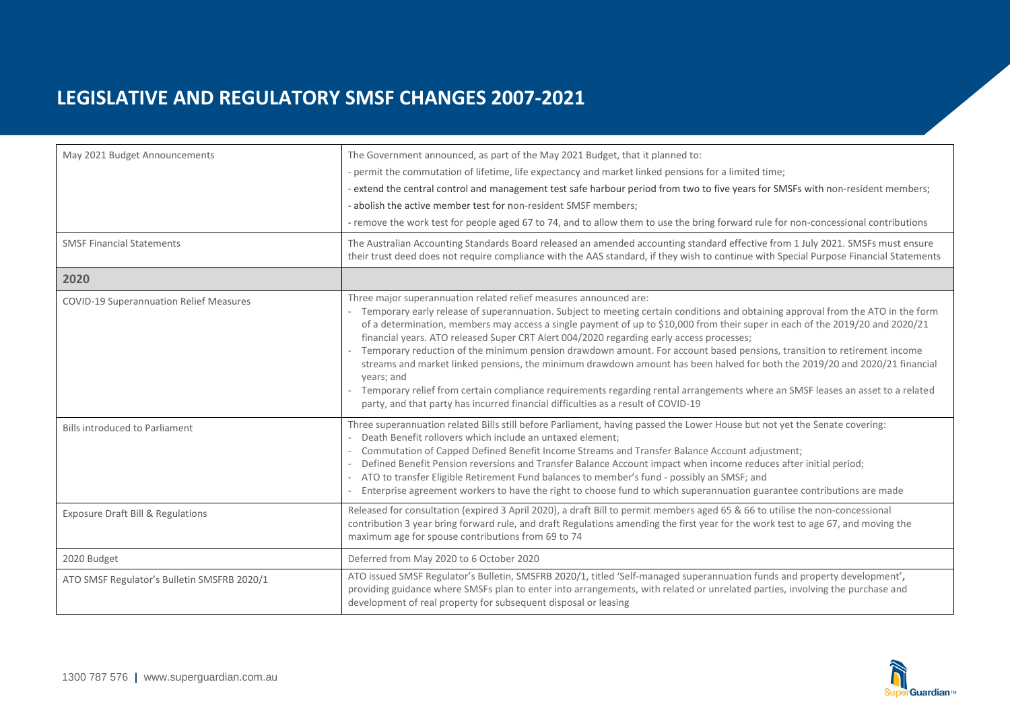| May 2021 Budget Announcements<br><b>SMSF Financial Statements</b> | The Government announced, as part of the May 2021 Budget, that it planned to:<br>- permit the commutation of lifetime, life expectancy and market linked pensions for a limited time;<br>extend the central control and management test safe harbour period from two to five years for SMSFs with non-resident members;<br>- abolish the active member test for non-resident SMSF members;<br>- remove the work test for people aged 67 to 74, and to allow them to use the bring forward rule for non-concessional contributions<br>The Australian Accounting Standards Board released an amended accounting standard effective from 1 July 2021. SMSFs must ensure                                                                                                                                                                                                                                                             |
|-------------------------------------------------------------------|----------------------------------------------------------------------------------------------------------------------------------------------------------------------------------------------------------------------------------------------------------------------------------------------------------------------------------------------------------------------------------------------------------------------------------------------------------------------------------------------------------------------------------------------------------------------------------------------------------------------------------------------------------------------------------------------------------------------------------------------------------------------------------------------------------------------------------------------------------------------------------------------------------------------------------|
|                                                                   | their trust deed does not require compliance with the AAS standard, if they wish to continue with Special Purpose Financial Statements                                                                                                                                                                                                                                                                                                                                                                                                                                                                                                                                                                                                                                                                                                                                                                                           |
| 2020                                                              |                                                                                                                                                                                                                                                                                                                                                                                                                                                                                                                                                                                                                                                                                                                                                                                                                                                                                                                                  |
| <b>COVID-19 Superannuation Relief Measures</b>                    | Three major superannuation related relief measures announced are:<br>Temporary early release of superannuation. Subject to meeting certain conditions and obtaining approval from the ATO in the form<br>of a determination, members may access a single payment of up to \$10,000 from their super in each of the 2019/20 and 2020/21<br>financial years. ATO released Super CRT Alert 004/2020 regarding early access processes;<br>Temporary reduction of the minimum pension drawdown amount. For account based pensions, transition to retirement income<br>streams and market linked pensions, the minimum drawdown amount has been halved for both the 2019/20 and 2020/21 financial<br>years; and<br>Temporary relief from certain compliance requirements regarding rental arrangements where an SMSF leases an asset to a related<br>party, and that party has incurred financial difficulties as a result of COVID-19 |
| <b>Bills introduced to Parliament</b>                             | Three superannuation related Bills still before Parliament, having passed the Lower House but not yet the Senate covering:<br>Death Benefit rollovers which include an untaxed element;<br>Commutation of Capped Defined Benefit Income Streams and Transfer Balance Account adjustment;<br>Defined Benefit Pension reversions and Transfer Balance Account impact when income reduces after initial period;<br>ATO to transfer Eligible Retirement Fund balances to member's fund - possibly an SMSF; and<br>Enterprise agreement workers to have the right to choose fund to which superannuation guarantee contributions are made                                                                                                                                                                                                                                                                                             |
| Exposure Draft Bill & Regulations                                 | Released for consultation (expired 3 April 2020), a draft Bill to permit members aged 65 & 66 to utilise the non-concessional<br>contribution 3 year bring forward rule, and draft Regulations amending the first year for the work test to age 67, and moving the<br>maximum age for spouse contributions from 69 to 74                                                                                                                                                                                                                                                                                                                                                                                                                                                                                                                                                                                                         |
| 2020 Budget                                                       | Deferred from May 2020 to 6 October 2020                                                                                                                                                                                                                                                                                                                                                                                                                                                                                                                                                                                                                                                                                                                                                                                                                                                                                         |
| ATO SMSF Regulator's Bulletin SMSFRB 2020/1                       | ATO issued SMSF Regulator's Bulletin, SMSFRB 2020/1, titled 'Self-managed superannuation funds and property development',<br>providing guidance where SMSFs plan to enter into arrangements, with related or unrelated parties, involving the purchase and<br>development of real property for subsequent disposal or leasing                                                                                                                                                                                                                                                                                                                                                                                                                                                                                                                                                                                                    |

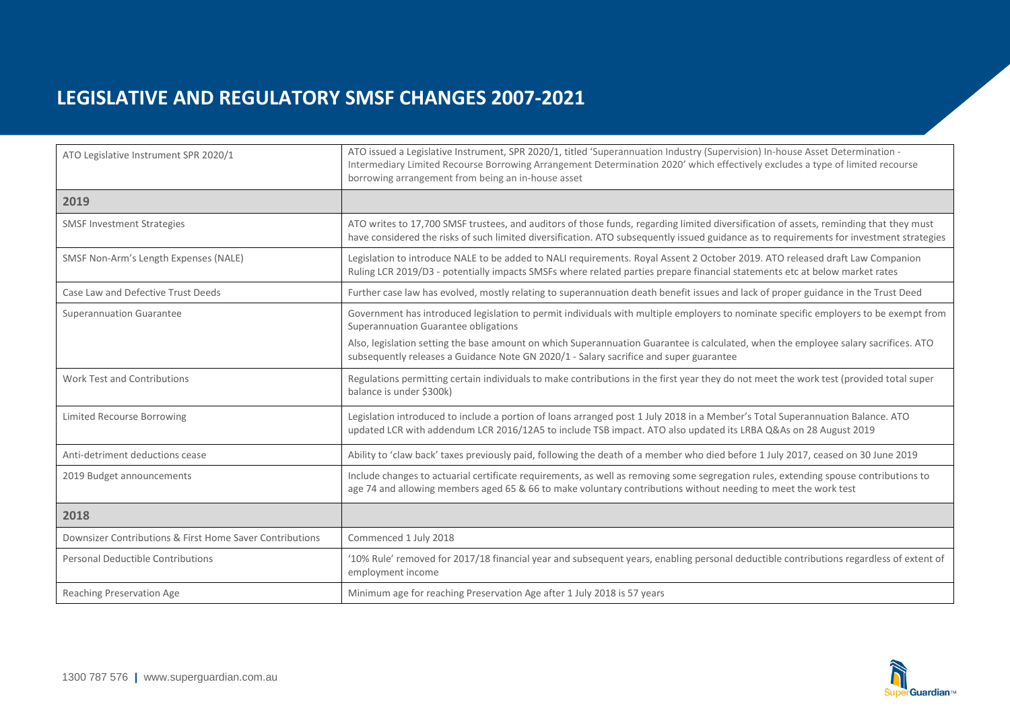| ATO Legislative Instrument SPR 2020/1                    | ATO issued a Legislative Instrument, SPR 2020/1, titled 'Superannuation Industry (Supervision) In-house Asset Determination -<br>Intermediary Limited Recourse Borrowing Arrangement Determination 2020' which effectively excludes a type of limited recourse<br>borrowing arrangement from being an in-house asset |
|----------------------------------------------------------|----------------------------------------------------------------------------------------------------------------------------------------------------------------------------------------------------------------------------------------------------------------------------------------------------------------------|
| 2019                                                     |                                                                                                                                                                                                                                                                                                                      |
| <b>SMSF Investment Strategies</b>                        | ATO writes to 17,700 SMSF trustees, and auditors of those funds, regarding limited diversification of assets, reminding that they must<br>have considered the risks of such limited diversification. ATO subsequently issued guidance as to requirements for investment strategies                                   |
| SMSF Non-Arm's Length Expenses (NALE)                    | Legislation to introduce NALE to be added to NALI requirements. Royal Assent 2 October 2019. ATO released draft Law Companion<br>Ruling LCR 2019/D3 - potentially impacts SMSFs where related parties prepare financial statements etc at below market rates                                                         |
| Case Law and Defective Trust Deeds                       | Further case law has evolved, mostly relating to superannuation death benefit issues and lack of proper guidance in the Trust Deed                                                                                                                                                                                   |
| <b>Superannuation Guarantee</b>                          | Government has introduced legislation to permit individuals with multiple employers to nominate specific employers to be exempt from<br>Superannuation Guarantee obligations                                                                                                                                         |
|                                                          | Also, legislation setting the base amount on which Superannuation Guarantee is calculated, when the employee salary sacrifices. ATO<br>subsequently releases a Guidance Note GN 2020/1 - Salary sacrifice and super guarantee                                                                                        |
| <b>Work Test and Contributions</b>                       | Regulations permitting certain individuals to make contributions in the first year they do not meet the work test (provided total super<br>balance is under \$300k)                                                                                                                                                  |
| <b>Limited Recourse Borrowing</b>                        | Legislation introduced to include a portion of loans arranged post 1 July 2018 in a Member's Total Superannuation Balance. ATO<br>updated LCR with addendum LCR 2016/12A5 to include TSB impact. ATO also updated its LRBA Q&As on 28 August 2019                                                                    |
| Anti-detriment deductions cease                          | Ability to 'claw back' taxes previously paid, following the death of a member who died before 1 July 2017, ceased on 30 June 2019                                                                                                                                                                                    |
| 2019 Budget announcements                                | Include changes to actuarial certificate requirements, as well as removing some segregation rules, extending spouse contributions to<br>age 74 and allowing members aged 65 & 66 to make voluntary contributions without needing to meet the work test                                                               |
| 2018                                                     |                                                                                                                                                                                                                                                                                                                      |
| Downsizer Contributions & First Home Saver Contributions | Commenced 1 July 2018                                                                                                                                                                                                                                                                                                |
| <b>Personal Deductible Contributions</b>                 | '10% Rule' removed for 2017/18 financial year and subsequent years, enabling personal deductible contributions regardless of extent of<br>employment income                                                                                                                                                          |
| Reaching Preservation Age                                | Minimum age for reaching Preservation Age after 1 July 2018 is 57 years                                                                                                                                                                                                                                              |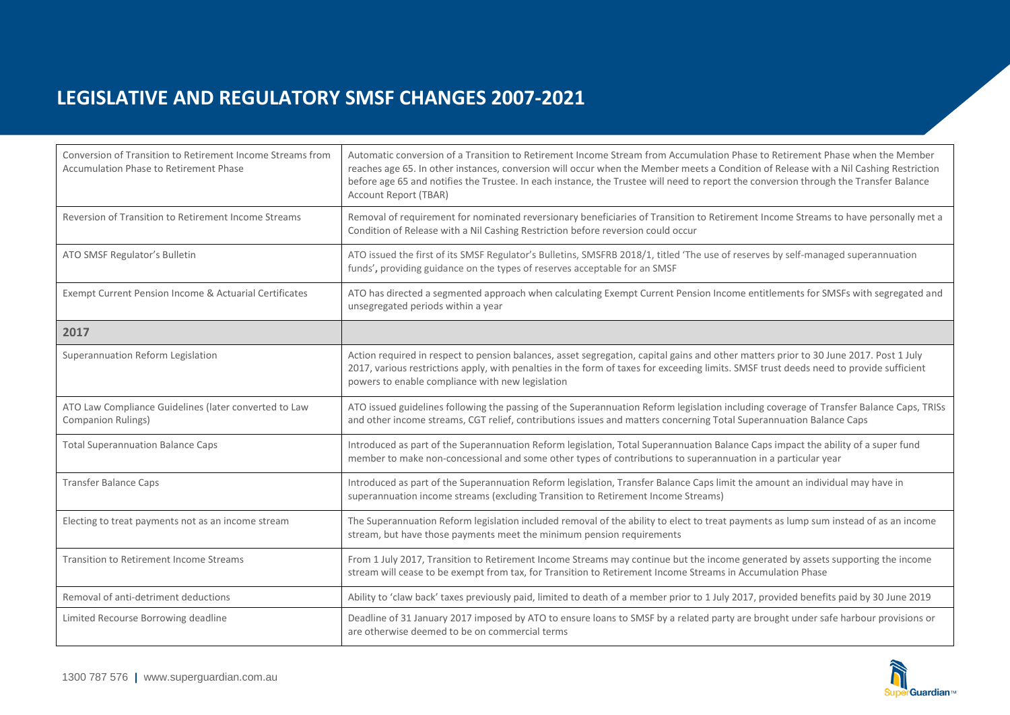| Conversion of Transition to Retirement Income Streams from<br><b>Accumulation Phase to Retirement Phase</b> | Automatic conversion of a Transition to Retirement Income Stream from Accumulation Phase to Retirement Phase when the Member<br>reaches age 65. In other instances, conversion will occur when the Member meets a Condition of Release with a Nil Cashing Restriction<br>before age 65 and notifies the Trustee. In each instance, the Trustee will need to report the conversion through the Transfer Balance<br>Account Report (TBAR) |
|-------------------------------------------------------------------------------------------------------------|-----------------------------------------------------------------------------------------------------------------------------------------------------------------------------------------------------------------------------------------------------------------------------------------------------------------------------------------------------------------------------------------------------------------------------------------|
| Reversion of Transition to Retirement Income Streams                                                        | Removal of requirement for nominated reversionary beneficiaries of Transition to Retirement Income Streams to have personally met a<br>Condition of Release with a Nil Cashing Restriction before reversion could occur                                                                                                                                                                                                                 |
| ATO SMSF Regulator's Bulletin                                                                               | ATO issued the first of its SMSF Regulator's Bulletins, SMSFRB 2018/1, titled 'The use of reserves by self-managed superannuation<br>funds', providing guidance on the types of reserves acceptable for an SMSF                                                                                                                                                                                                                         |
| Exempt Current Pension Income & Actuarial Certificates                                                      | ATO has directed a segmented approach when calculating Exempt Current Pension Income entitlements for SMSFs with segregated and<br>unsegregated periods within a year                                                                                                                                                                                                                                                                   |
| 2017                                                                                                        |                                                                                                                                                                                                                                                                                                                                                                                                                                         |
| Superannuation Reform Legislation                                                                           | Action required in respect to pension balances, asset segregation, capital gains and other matters prior to 30 June 2017. Post 1 July<br>2017, various restrictions apply, with penalties in the form of taxes for exceeding limits. SMSF trust deeds need to provide sufficient<br>powers to enable compliance with new legislation                                                                                                    |
| ATO Law Compliance Guidelines (later converted to Law<br><b>Companion Rulings)</b>                          | ATO issued guidelines following the passing of the Superannuation Reform legislation including coverage of Transfer Balance Caps, TRISs<br>and other income streams, CGT relief, contributions issues and matters concerning Total Superannuation Balance Caps                                                                                                                                                                          |
| <b>Total Superannuation Balance Caps</b>                                                                    | Introduced as part of the Superannuation Reform legislation, Total Superannuation Balance Caps impact the ability of a super fund<br>member to make non-concessional and some other types of contributions to superannuation in a particular year                                                                                                                                                                                       |
| <b>Transfer Balance Caps</b>                                                                                | Introduced as part of the Superannuation Reform legislation, Transfer Balance Caps limit the amount an individual may have in<br>superannuation income streams (excluding Transition to Retirement Income Streams)                                                                                                                                                                                                                      |
| Electing to treat payments not as an income stream                                                          | The Superannuation Reform legislation included removal of the ability to elect to treat payments as lump sum instead of as an income<br>stream, but have those payments meet the minimum pension requirements                                                                                                                                                                                                                           |
| <b>Transition to Retirement Income Streams</b>                                                              | From 1 July 2017, Transition to Retirement Income Streams may continue but the income generated by assets supporting the income<br>stream will cease to be exempt from tax, for Transition to Retirement Income Streams in Accumulation Phase                                                                                                                                                                                           |
| Removal of anti-detriment deductions                                                                        | Ability to 'claw back' taxes previously paid, limited to death of a member prior to 1 July 2017, provided benefits paid by 30 June 2019                                                                                                                                                                                                                                                                                                 |
| Limited Recourse Borrowing deadline                                                                         | Deadline of 31 January 2017 imposed by ATO to ensure loans to SMSF by a related party are brought under safe harbour provisions or<br>are otherwise deemed to be on commercial terms                                                                                                                                                                                                                                                    |

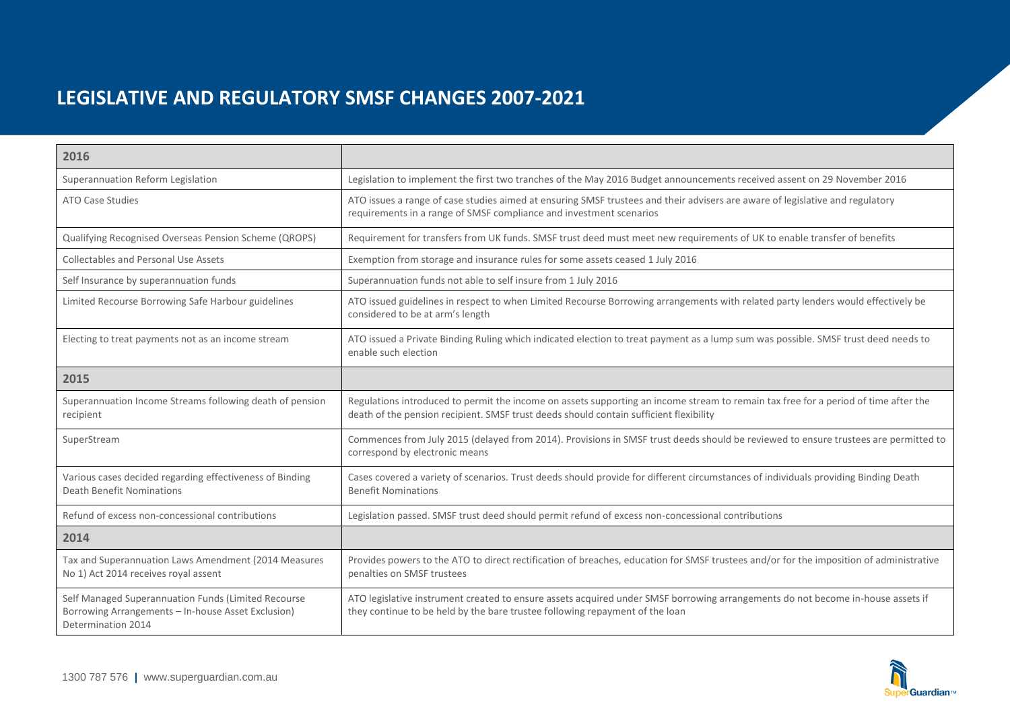| 2016                                                                                                                            |                                                                                                                                                                                                                               |
|---------------------------------------------------------------------------------------------------------------------------------|-------------------------------------------------------------------------------------------------------------------------------------------------------------------------------------------------------------------------------|
| Superannuation Reform Legislation                                                                                               | Legislation to implement the first two tranches of the May 2016 Budget announcements received assent on 29 November 2016                                                                                                      |
| <b>ATO Case Studies</b>                                                                                                         | ATO issues a range of case studies aimed at ensuring SMSF trustees and their advisers are aware of legislative and regulatory<br>requirements in a range of SMSF compliance and investment scenarios                          |
| Qualifying Recognised Overseas Pension Scheme (QROPS)                                                                           | Requirement for transfers from UK funds. SMSF trust deed must meet new requirements of UK to enable transfer of benefits                                                                                                      |
| Collectables and Personal Use Assets                                                                                            | Exemption from storage and insurance rules for some assets ceased 1 July 2016                                                                                                                                                 |
| Self Insurance by superannuation funds                                                                                          | Superannuation funds not able to self insure from 1 July 2016                                                                                                                                                                 |
| Limited Recourse Borrowing Safe Harbour guidelines                                                                              | ATO issued guidelines in respect to when Limited Recourse Borrowing arrangements with related party lenders would effectively be<br>considered to be at arm's length                                                          |
| Electing to treat payments not as an income stream                                                                              | ATO issued a Private Binding Ruling which indicated election to treat payment as a lump sum was possible. SMSF trust deed needs to<br>enable such election                                                                    |
| 2015                                                                                                                            |                                                                                                                                                                                                                               |
| Superannuation Income Streams following death of pension<br>recipient                                                           | Regulations introduced to permit the income on assets supporting an income stream to remain tax free for a period of time after the<br>death of the pension recipient. SMSF trust deeds should contain sufficient flexibility |
| SuperStream                                                                                                                     | Commences from July 2015 (delayed from 2014). Provisions in SMSF trust deeds should be reviewed to ensure trustees are permitted to<br>correspond by electronic means                                                         |
| Various cases decided regarding effectiveness of Binding<br><b>Death Benefit Nominations</b>                                    | Cases covered a variety of scenarios. Trust deeds should provide for different circumstances of individuals providing Binding Death<br><b>Benefit Nominations</b>                                                             |
| Refund of excess non-concessional contributions                                                                                 | Legislation passed. SMSF trust deed should permit refund of excess non-concessional contributions                                                                                                                             |
| 2014                                                                                                                            |                                                                                                                                                                                                                               |
| Tax and Superannuation Laws Amendment (2014 Measures<br>No 1) Act 2014 receives royal assent                                    | Provides powers to the ATO to direct rectification of breaches, education for SMSF trustees and/or for the imposition of administrative<br>penalties on SMSF trustees                                                         |
| Self Managed Superannuation Funds (Limited Recourse<br>Borrowing Arrangements - In-house Asset Exclusion)<br>Determination 2014 | ATO legislative instrument created to ensure assets acquired under SMSF borrowing arrangements do not become in-house assets if<br>they continue to be held by the bare trustee following repayment of the loan               |

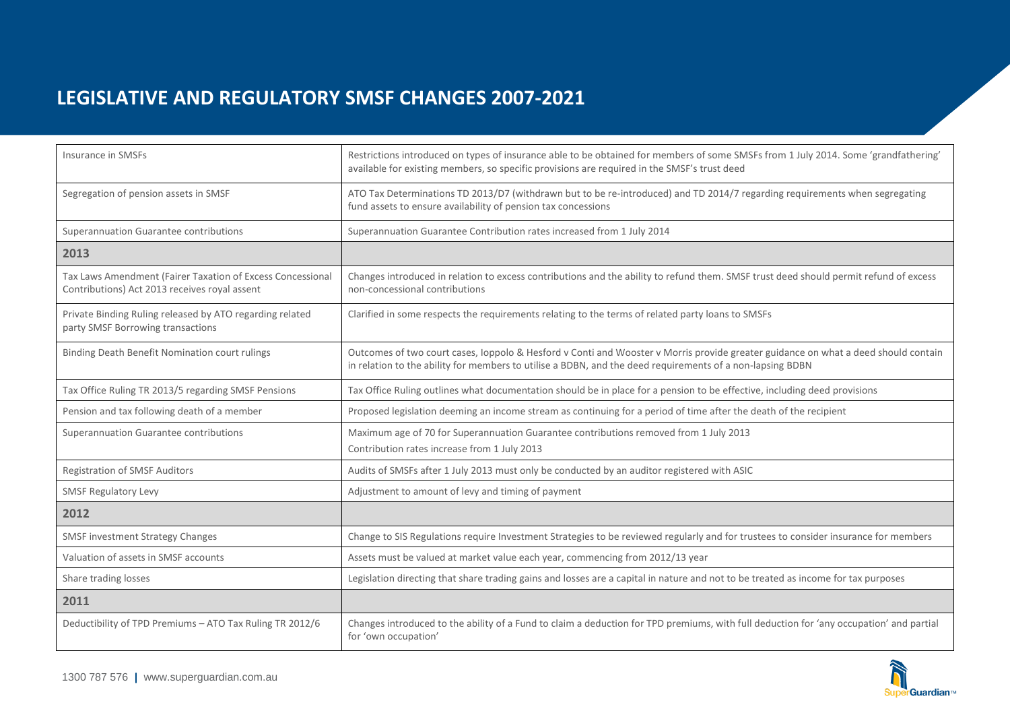| Insurance in SMSFs                                                                                          | Restrictions introduced on types of insurance able to be obtained for members of some SMSFs from 1 July 2014. Some 'grandfathering'<br>available for existing members, so specific provisions are required in the SMSF's trust deed             |
|-------------------------------------------------------------------------------------------------------------|-------------------------------------------------------------------------------------------------------------------------------------------------------------------------------------------------------------------------------------------------|
| Segregation of pension assets in SMSF                                                                       | ATO Tax Determinations TD 2013/D7 (withdrawn but to be re-introduced) and TD 2014/7 regarding requirements when segregating<br>fund assets to ensure availability of pension tax concessions                                                    |
| Superannuation Guarantee contributions                                                                      | Superannuation Guarantee Contribution rates increased from 1 July 2014                                                                                                                                                                          |
| 2013                                                                                                        |                                                                                                                                                                                                                                                 |
| Tax Laws Amendment (Fairer Taxation of Excess Concessional<br>Contributions) Act 2013 receives royal assent | Changes introduced in relation to excess contributions and the ability to refund them. SMSF trust deed should permit refund of excess<br>non-concessional contributions                                                                         |
| Private Binding Ruling released by ATO regarding related<br>party SMSF Borrowing transactions               | Clarified in some respects the requirements relating to the terms of related party loans to SMSFs                                                                                                                                               |
| Binding Death Benefit Nomination court rulings                                                              | Outcomes of two court cases, loppolo & Hesford v Conti and Wooster v Morris provide greater guidance on what a deed should contain<br>in relation to the ability for members to utilise a BDBN, and the deed requirements of a non-lapsing BDBN |
| Tax Office Ruling TR 2013/5 regarding SMSF Pensions                                                         | Tax Office Ruling outlines what documentation should be in place for a pension to be effective, including deed provisions                                                                                                                       |
| Pension and tax following death of a member                                                                 | Proposed legislation deeming an income stream as continuing for a period of time after the death of the recipient                                                                                                                               |
| Superannuation Guarantee contributions                                                                      | Maximum age of 70 for Superannuation Guarantee contributions removed from 1 July 2013<br>Contribution rates increase from 1 July 2013                                                                                                           |
| <b>Registration of SMSF Auditors</b>                                                                        | Audits of SMSFs after 1 July 2013 must only be conducted by an auditor registered with ASIC                                                                                                                                                     |
| <b>SMSF Regulatory Levy</b>                                                                                 | Adjustment to amount of levy and timing of payment                                                                                                                                                                                              |
| 2012                                                                                                        |                                                                                                                                                                                                                                                 |
| <b>SMSF investment Strategy Changes</b>                                                                     | Change to SIS Regulations require Investment Strategies to be reviewed regularly and for trustees to consider insurance for members                                                                                                             |
| Valuation of assets in SMSF accounts                                                                        | Assets must be valued at market value each year, commencing from 2012/13 year                                                                                                                                                                   |
| Share trading losses                                                                                        | Legislation directing that share trading gains and losses are a capital in nature and not to be treated as income for tax purposes                                                                                                              |
| 2011                                                                                                        |                                                                                                                                                                                                                                                 |
| Deductibility of TPD Premiums - ATO Tax Ruling TR 2012/6                                                    | Changes introduced to the ability of a Fund to claim a deduction for TPD premiums, with full deduction for 'any occupation' and partial<br>for 'own occupation'                                                                                 |

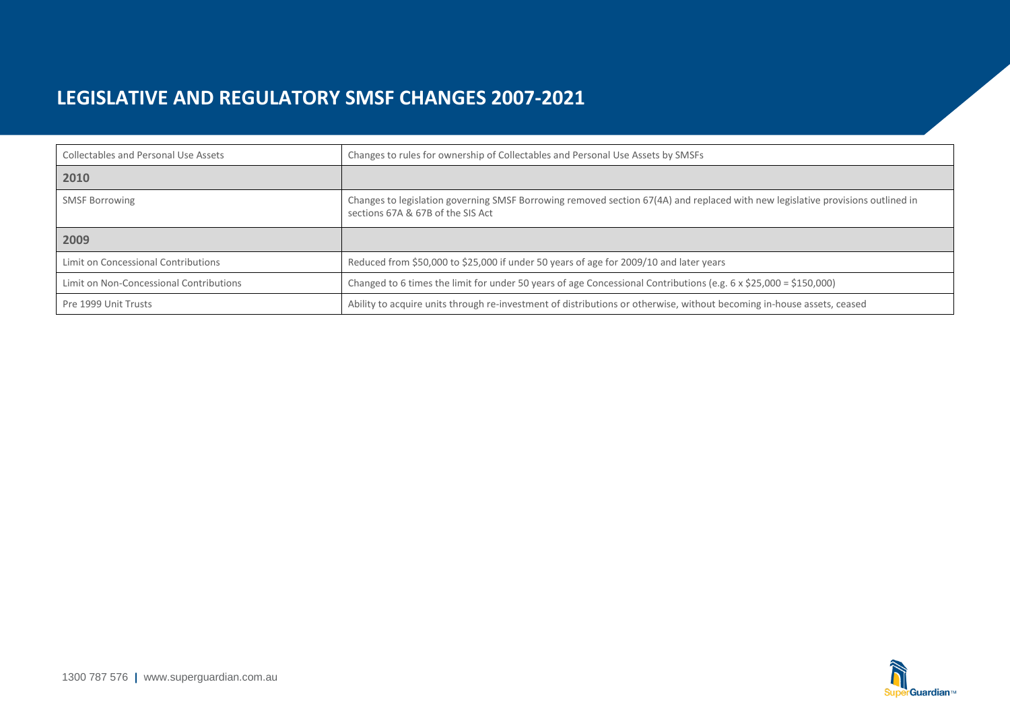| <b>Collectables and Personal Use Assets</b> | Changes to rules for ownership of Collectables and Personal Use Assets by SMSFs                                                                                      |
|---------------------------------------------|----------------------------------------------------------------------------------------------------------------------------------------------------------------------|
| 2010                                        |                                                                                                                                                                      |
| <b>SMSF Borrowing</b>                       | Changes to legislation governing SMSF Borrowing removed section 67(4A) and replaced with new legislative provisions outlined in<br>sections 67A & 67B of the SIS Act |
| 2009                                        |                                                                                                                                                                      |
| Limit on Concessional Contributions         | Reduced from \$50,000 to \$25,000 if under 50 years of age for 2009/10 and later years                                                                               |
| Limit on Non-Concessional Contributions     | Changed to 6 times the limit for under 50 years of age Concessional Contributions (e.g. 6 x \$25,000 = \$150,000)                                                    |
| Pre 1999 Unit Trusts                        | Ability to acquire units through re-investment of distributions or otherwise, without becoming in-house assets, ceased                                               |